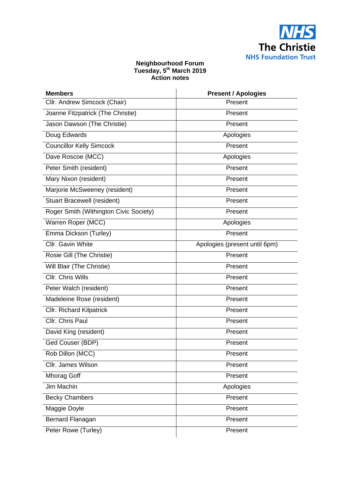

## **Neighbourhood Forum Tuesday, 5th March 2019 Action notes**

| <b>Members</b>                         | <b>Present / Apologies</b>    |
|----------------------------------------|-------------------------------|
| Cllr. Andrew Simcock (Chair)           | Present                       |
| Joanne Fitzpatrick (The Christie)      | Present                       |
| Jason Dawson (The Christie)            | Present                       |
| Doug Edwards                           | Apologies                     |
| <b>Councillor Kelly Simcock</b>        | Present                       |
| Dave Roscoe (MCC)                      | Apologies                     |
| Peter Smith (resident)                 | Present                       |
| Mary Nixon (resident)                  | Present                       |
| Marjorie McSweeney (resident)          | Present                       |
| <b>Stuart Bracewell (resident)</b>     | Present                       |
| Roger Smith (Withington Civic Society) | Present                       |
| Warren Roper (MCC)                     | Apologies                     |
| Emma Dickson (Turley)                  | Present                       |
| Cllr. Gavin White                      | Apologies (present until 6pm) |
| Rosie Gill (The Christie)              | Present                       |
| Will Blair (The Christie)              | Present                       |
| <b>CIIr. Chris Wills</b>               | Present                       |
| Peter Walch (resident)                 | Present                       |
| Madeleine Rose (resident)              | Present                       |
| <b>Cllr. Richard Kilpatrick</b>        | Present                       |
| Cllr. Chris Paul                       | Present                       |
| David King (resident)                  | Present                       |
| Ged Couser (BDP)                       | Present                       |
| Rob Dillon (MCC)                       | Present                       |
| Cllr. James Wilson                     | Present                       |
| <b>Mhorag Goff</b>                     | Present                       |
| Jim Machin                             | Apologies                     |
| <b>Becky Chambers</b>                  | Present                       |
| Maggie Doyle                           | Present                       |
| Bernard Flanagan                       | Present                       |
| Peter Rowe (Turley)                    | Present                       |